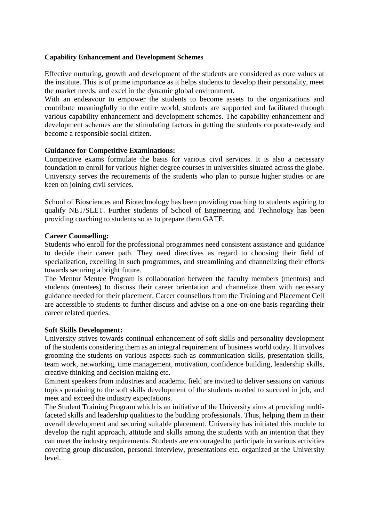#### **Capability Enhancement and Development Schemes**

Effective nurturing, growth and development of the students are considered as core values at the institute. This is of prime importance as it helps students to develop their personality, meet the market needs, and excel in the dynamic global environment.

With an endeavour to empower the students to become assets to the organizations and contribute meaningfully to the entire world, students are supported and facilitated through various capability enhancement and development schemes. The capability enhancement and development schemes are the stimulating factors in getting the students corporate-ready and become a responsible social citizen.

### **Guidance for Competitive Examinations:**

Competitive exams formulate the basis for various civil services. It is also a necessary foundation to enroll for various higher degree courses in universities situated across the globe. University serves the requirements of the students who plan to pursue higher studies or are keen on joining civil services.

School of Biosciences and Biotechnology has been providing coaching to students aspiring to qualify NET/SLET. Further students of School of Engineering and Technology has been providing coaching to students so as to prepare them GATE.

#### **Career Counselling:**

Students who enroll for the professional programmes need consistent assistance and guidance to decide their career path. They need directives as regard to choosing their field of specialization, excelling in such programmes, and streamlining and channelizing their efforts towards securing a bright future.

The Mentor Mentee Program is collaboration between the faculty members (mentors) and students (mentees) to discuss their career orientation and channelize them with necessary guidance needed for their placement. Career counsellors from the Training and Placement Cell are accessible to students to further discuss and advise on a one-on-one basis regarding their career related queries.

### **Soft Skills Development:**

University strives towards continual enhancement of soft skills and personality development of the students considering them as an integral requirement of business world today. It involves grooming the students on various aspects such as communication skills, presentation skills, team work, networking, time management, motivation, confidence building, leadership skills, creative thinking and decision making etc.

Eminent speakers from industries and academic field are invited to deliver sessions on various topics pertaining to the soft skills development of the students needed to succeed in job, and meet and exceed the industry expectations.

The Student Training Program which is an initiative of the University aims at providing multifaceted skills and leadership qualities to the budding professionals. Thus, helping them in their overall development and securing suitable placement. University has initiated this module to develop the right approach, attitude and skills among the students with an intention that they can meet the industry requirements. Students are encouraged to participate in various activities covering group discussion, personal interview, presentations etc. organized at the University level.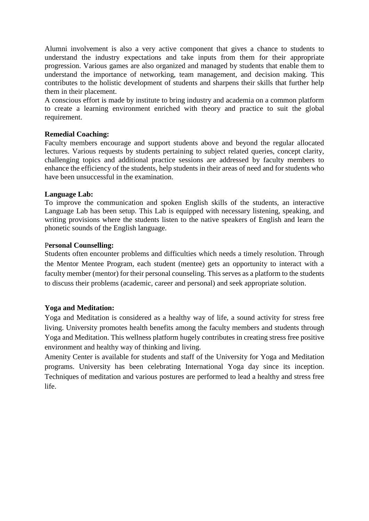Alumni involvement is also a very active component that gives a chance to students to understand the industry expectations and take inputs from them for their appropriate progression. Various games are also organized and managed by students that enable them to understand the importance of networking, team management, and decision making. This contributes to the holistic development of students and sharpens their skills that further help them in their placement.

A conscious effort is made by institute to bring industry and academia on a common platform to create a learning environment enriched with theory and practice to suit the global requirement.

## **Remedial Coaching:**

Faculty members encourage and support students above and beyond the regular allocated lectures. Various requests by students pertaining to subject related queries, concept clarity, challenging topics and additional practice sessions are addressed by faculty members to enhance the efficiency of the students, help students in their areas of need and for students who have been unsuccessful in the examination.

## **Language Lab:**

To improve the communication and spoken English skills of the students, an interactive Language Lab has been setup. This Lab is equipped with necessary listening, speaking, and writing provisions where the students listen to the native speakers of English and learn the phonetic sounds of the English language.

## P**ersonal Counselling:**

Students often encounter problems and difficulties which needs a timely resolution. Through the Mentor Mentee Program, each student (mentee) gets an opportunity to interact with a faculty member (mentor) for their personal counseling. This serves as a platform to the students to discuss their problems (academic, career and personal) and seek appropriate solution.

# **Yoga and Meditation:**

Yoga and Meditation is considered as a healthy way of life, a sound activity for stress free living. University promotes health benefits among the faculty members and students through Yoga and Meditation. This wellness platform hugely contributes in creating stress free positive environment and healthy way of thinking and living.

Amenity Center is available for students and staff of the University for Yoga and Meditation programs. University has been celebrating International Yoga day since its inception. Techniques of meditation and various postures are performed to lead a healthy and stress free life.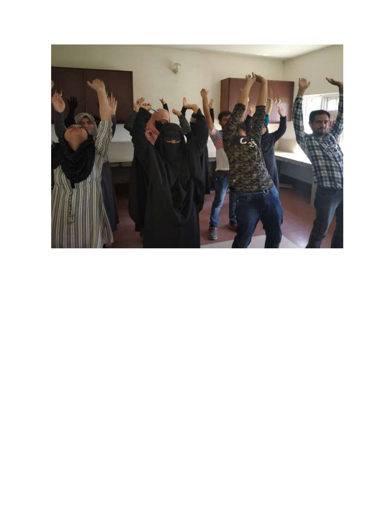